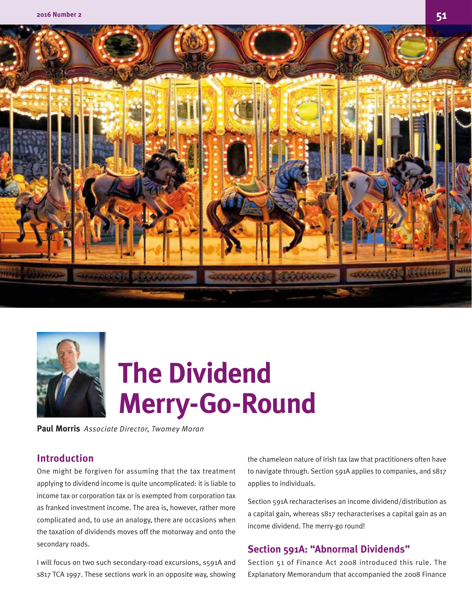



# **The Dividend Merry-Go-Round**

**Paul Morris** *Associate Director, Twomey Moran*

# **Introduction**

One might be forgiven for assuming that the tax treatment applying to dividend income is quite uncomplicated: it is liable to income tax or corporation tax or is exempted from corporation tax as franked investment income. The area is, however, rather more complicated and, to use an analogy, there are occasions when the taxation of dividends moves off the motorway and onto the secondary roads.

I will focus on two such secondary-road excursions, s591A and s817 TCA 1997. These sections work in an opposite way, showing the chameleon nature of Irish tax law that practitioners often have to navigate through. Section 591A applies to companies, and s817 applies to individuals.

Section 591A recharacterises an income dividend/distribution as a capital gain, whereas s817 recharacterises a capital gain as an income dividend. The merry-go round!

## **Section 591A: "Abnormal Dividends"**

Section 51 of Finance Act 2008 introduced this rule. The Explanatory Memorandum that accompanied the 2008 Finance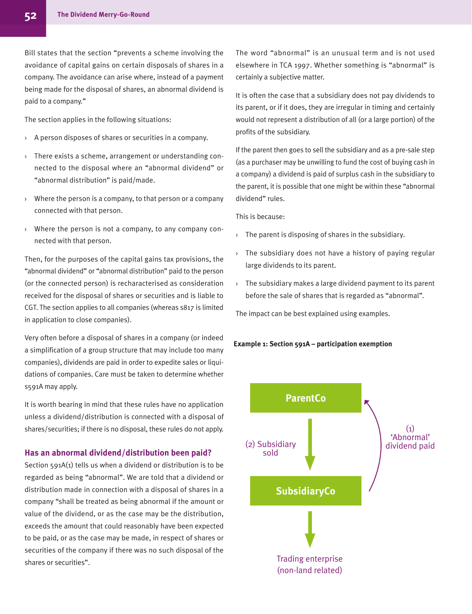Bill states that the section "prevents a scheme involving the avoidance of capital gains on certain disposals of shares in a company. The avoidance can arise where, instead of a payment being made for the disposal of shares, an abnormal dividend is paid to a company."

The section applies in the following situations:

- › A person disposes of shares or securities in a company.
- › There exists a scheme, arrangement or understanding connected to the disposal where an "abnormal dividend" or "abnormal distribution" is paid/made.
- $\rightarrow$  Where the person is a company, to that person or a company connected with that person.
- › Where the person is not a company, to any company connected with that person.

Then, for the purposes of the capital gains tax provisions, the "abnormal dividend" or "abnormal distribution" paid to the person (or the connected person) is recharacterised as consideration received for the disposal of shares or securities and is liable to CGT. The section applies to all companies (whereas s817 is limited in application to close companies).

Very often before a disposal of shares in a company (or indeed a simplification of a group structure that may include too many companies), dividends are paid in order to expedite sales or liquidations of companies. Care must be taken to determine whether s591A may apply.

It is worth bearing in mind that these rules have no application unless a dividend/distribution is connected with a disposal of shares/securities; if there is no disposal, these rules do not apply.

### **Has an abnormal dividend/distribution been paid?**

Section 591A(1) tells us when a dividend or distribution is to be regarded as being "abnormal". We are told that a dividend or distribution made in connection with a disposal of shares in a company "shall be treated as being abnormal if the amount or value of the dividend, or as the case may be the distribution, exceeds the amount that could reasonably have been expected to be paid, or as the case may be made, in respect of shares or securities of the company if there was no such disposal of the shares or securities".

The word "abnormal" is an unusual term and is not used elsewhere in TCA 1997. Whether something is "abnormal" is certainly a subjective matter.

It is often the case that a subsidiary does not pay dividends to its parent, or if it does, they are irregular in timing and certainly would not represent a distribution of all (or a large portion) of the profits of the subsidiary.

If the parent then goes to sell the subsidiary and as a pre-sale step (as a purchaser may be unwilling to fund the cost of buying cash in a company) a dividend is paid of surplus cash in the subsidiary to the parent, it is possible that one might be within these "abnormal dividend" rules.

This is because:

- › The parent is disposing of shares in the subsidiary.
- › The subsidiary does not have a history of paying regular large dividends to its parent.
- $\rightarrow$  The subsidiary makes a large dividend payment to its parent before the sale of shares that is regarded as "abnormal".

The impact can be best explained using examples.

#### **Example 1: Section 591A – participation exemption**

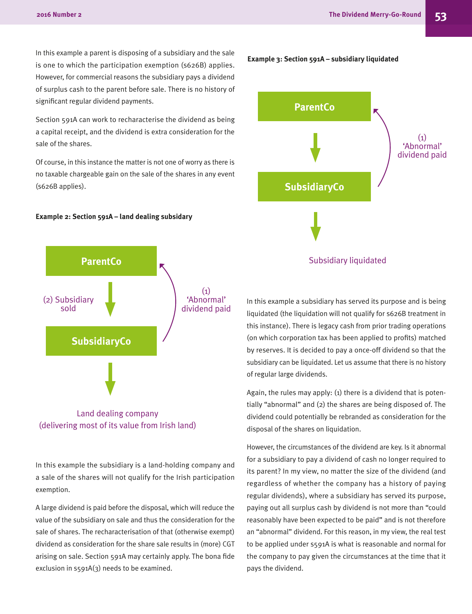In this example a parent is disposing of a subsidiary and the sale is one to which the participation exemption (s626B) applies. However, for commercial reasons the subsidiary pays a dividend of surplus cash to the parent before sale. There is no history of significant regular dividend payments.

Section 591A can work to recharacterise the dividend as being a capital receipt, and the dividend is extra consideration for the sale of the shares.

Of course, in this instance the matter is not one of worry as there is no taxable chargeable gain on the sale of the shares in any event (s626B applies).

#### **Example 2: Section 591A – land dealing subsidary**



Land dealing company (delivering most of its value from Irish land)

In this example the subsidiary is a land-holding company and a sale of the shares will not qualify for the Irish participation exemption.

A large dividend is paid before the disposal, which will reduce the value of the subsidiary on sale and thus the consideration for the sale of shares. The recharacterisation of that (otherwise exempt) dividend as consideration for the share sale results in (more) CGT arising on sale. Section 591A may certainly apply. The bona fide exclusion in s591A(3) needs to be examined.



**Example 3: Section 591A – subsidiary liquidated**

In this example a subsidiary has served its purpose and is being liquidated (the liquidation will not qualify for s626B treatment in this instance). There is legacy cash from prior trading operations (on which corporation tax has been applied to profits) matched by reserves. It is decided to pay a once-off dividend so that the subsidiary can be liquidated. Let us assume that there is no history of regular large dividends.

Again, the rules may apply: (1) there is a dividend that is potentially "abnormal" and (2) the shares are being disposed of. The dividend could potentially be rebranded as consideration for the disposal of the shares on liquidation.

However, the circumstances of the dividend are key. Is it abnormal for a subsidiary to pay a dividend of cash no longer required to its parent? In my view, no matter the size of the dividend (and regardless of whether the company has a history of paying regular dividends), where a subsidiary has served its purpose, paying out all surplus cash by dividend is not more than "could reasonably have been expected to be paid" and is not therefore an "abnormal" dividend. For this reason, in my view, the real test to be applied under s591A is what is reasonable and normal for the company to pay given the circumstances at the time that it pays the dividend.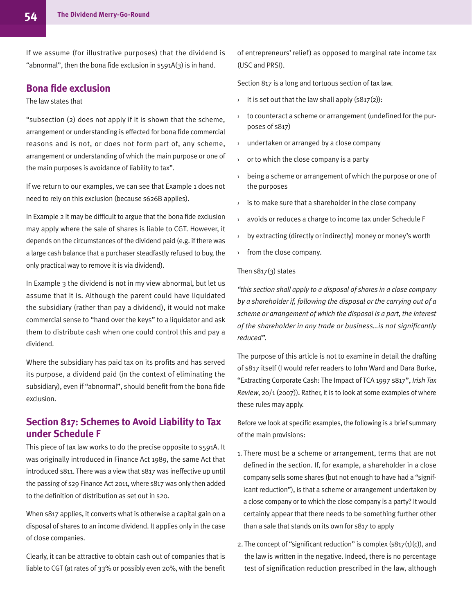If we assume (for illustrative purposes) that the dividend is "abnormal", then the bona fide exclusion in  $s_5$ 91A(3) is in hand.

# **Bona fide exclusion**

## The law states that

"subsection (2) does not apply if it is shown that the scheme, arrangement or understanding is effected for bona fide commercial reasons and is not, or does not form part of, any scheme, arrangement or understanding of which the main purpose or one of the main purposes is avoidance of liability to tax".

If we return to our examples, we can see that Example 1 does not need to rely on this exclusion (because s626B applies).

In Example 2 it may be difficult to argue that the bona fide exclusion may apply where the sale of shares is liable to CGT. However, it depends on the circumstances of the dividend paid (e.g. if there was a large cash balance that a purchaser steadfastly refused to buy, the only practical way to remove it is via dividend).

In Example 3 the dividend is not in my view abnormal, but let us assume that it is. Although the parent could have liquidated the subsidiary (rather than pay a dividend), it would not make commercial sense to "hand over the keys" to a liquidator and ask them to distribute cash when one could control this and pay a dividend.

Where the subsidiary has paid tax on its profits and has served its purpose, a dividend paid (in the context of eliminating the subsidiary), even if "abnormal", should benefit from the bona fide exclusion.

# **Section 817: Schemes to Avoid Liability to Tax under Schedule F**

This piece of tax law works to do the precise opposite to s591A. It was originally introduced in Finance Act 1989, the same Act that introduced s811. There was a view that s817 was ineffective up until the passing of s29 Finance Act 2011, where s817 was only then added to the definition of distribution as set out in s20.

When s817 applies, it converts what is otherwise a capital gain on a disposal of shares to an income dividend. It applies only in the case of close companies.

Clearly, it can be attractive to obtain cash out of companies that is liable to CGT (at rates of 33% or possibly even 20%, with the benefit of entrepreneurs' relief) as opposed to marginal rate income tax (USC and PRSI).

Section 817 is a long and tortuous section of tax law.

- It is set out that the law shall apply  $(S817(2))$ :
- › to counteract a scheme or arrangement (undefined for the purposes of s817)
- › undertaken or arranged by a close company
- or to which the close company is a party
- › being a scheme or arrangement of which the purpose or one of the purposes
- $\rightarrow$  is to make sure that a shareholder in the close company
- avoids or reduces a charge to income tax under Schedule F
- by extracting (directly or indirectly) money or money's worth
- › from the close company.

## Then s817(3) states

*"this section shall apply to a disposal of shares in a close company by a shareholder if, following the disposal or the carrying out of a scheme or arrangement of which the disposal is a part, the interest of the shareholder in any trade or business…is not significantly reduced".*

The purpose of this article is not to examine in detail the drafting of s817 itself (I would refer readers to John Ward and Dara Burke, "Extracting Corporate Cash: The Impact of TCA 1997 s817", *Irish Tax Review*, 20/1 (2007)). Rather, it is to look at some examples of where these rules may apply.

Before we look at specific examples, the following is a brief summary of the main provisions:

- 1. There must be a scheme or arrangement, terms that are not defined in the section. If, for example, a shareholder in a close company sells some shares (but not enough to have had a "significant reduction"), is that a scheme or arrangement undertaken by a close company or to which the close company is a party? It would certainly appear that there needs to be something further other than a sale that stands on its own for s817 to apply
- 2. The concept of "significant reduction" is complex  $(s817(1)(c))$ , and the law is written in the negative. Indeed, there is no percentage test of signification reduction prescribed in the law, although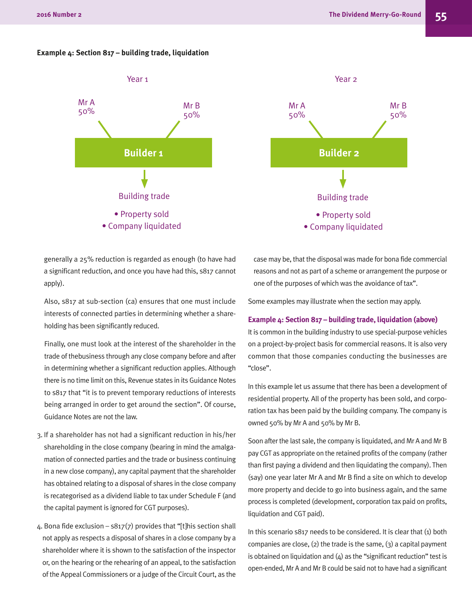#### **Example 4: Section 817 – building trade, liquidation**





generally a 25% reduction is regarded as enough (to have had a significant reduction, and once you have had this, s817 cannot apply).

Also, s817 at sub-section (ca) ensures that one must include interests of connected parties in determining whether a shareholding has been significantly reduced.

Finally, one must look at the interest of the shareholder in the trade of thebusiness through any close company before and after in determining whether a significant reduction applies. Although there is no time limit on this, Revenue states in its Guidance Notes to s817 that "it is to prevent temporary reductions of interests being arranged in order to get around the section". Of course, Guidance Notes are not the law.

- 3. If a shareholder has not had a significant reduction in his/her shareholding in the close company (bearing in mind the amalgamation of connected parties and the trade or business continuing in a new close company), any capital payment that the shareholder has obtained relating to a disposal of shares in the close company is recategorised as a dividend liable to tax under Schedule F (and the capital payment is ignored for CGT purposes).
- 4. Bona fide exclusion  $s817(7)$  provides that "[t]his section shall not apply as respects a disposal of shares in a close company by a shareholder where it is shown to the satisfaction of the inspector or, on the hearing or the rehearing of an appeal, to the satisfaction of the Appeal Commissioners or a judge of the Circuit Court, as the

case may be, that the disposal was made for bona fide commercial reasons and not as part of a scheme or arrangement the purpose or one of the purposes of which was the avoidance of tax".

Some examples may illustrate when the section may apply.

#### **Example 4: Section 817 – building trade, liquidation (above)**

It is common in the building industry to use special-purpose vehicles on a project-by-project basis for commercial reasons. It is also very common that those companies conducting the businesses are "close".

In this example let us assume that there has been a development of residential property. All of the property has been sold, and corporation tax has been paid by the building company. The company is owned 50% by Mr A and 50% by Mr B.

Soon after the last sale, the company is liquidated, and Mr A and Mr B pay CGT as appropriate on the retained profits of the company (rather than first paying a dividend and then liquidating the company). Then (say) one year later Mr A and Mr B find a site on which to develop more property and decide to go into business again, and the same process is completed (development, corporation tax paid on profits, liquidation and CGT paid).

In this scenario s817 needs to be considered. It is clear that (1) both companies are close,  $(2)$  the trade is the same,  $(3)$  a capital payment is obtained on liquidation and  $(4)$  as the "significant reduction" test is open-ended, Mr A and Mr B could be said not to have had a significant